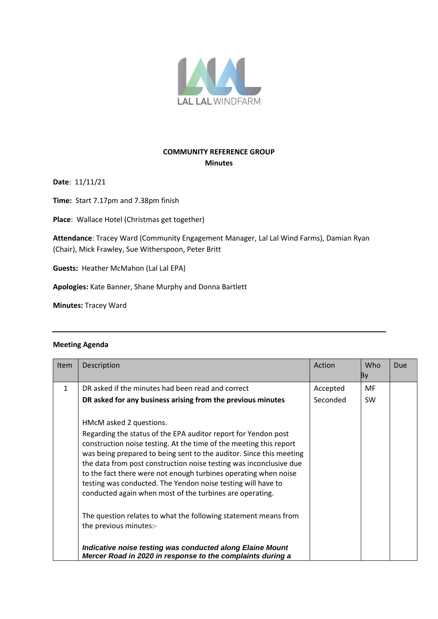

## **COMMUNITY REFERENCE GROUP Minutes**

**Date**: 11/11/21

**Time:** Start 7.17pm and 7.38pm finish

**Place**: Wallace Hotel (Christmas get together)

**Attendance**: Tracey Ward (Community Engagement Manager, Lal Lal Wind Farms), Damian Ryan (Chair), Mick Frawley, Sue Witherspoon, Peter Britt

**Guests:** Heather McMahon (Lal Lal EPA)

**Apologies:** Kate Banner, Shane Murphy and Donna Bartlett

**Minutes:** Tracey Ward

## **Meeting Agenda**

| <b>Item</b>  | Description                                                                                                                                                                                                                                                                                                                                                                                                                                                                                                 | Action               | Who<br>By        | Due |
|--------------|-------------------------------------------------------------------------------------------------------------------------------------------------------------------------------------------------------------------------------------------------------------------------------------------------------------------------------------------------------------------------------------------------------------------------------------------------------------------------------------------------------------|----------------------|------------------|-----|
| $\mathbf{1}$ | DR asked if the minutes had been read and correct<br>DR asked for any business arising from the previous minutes                                                                                                                                                                                                                                                                                                                                                                                            | Accepted<br>Seconded | MF.<br><b>SW</b> |     |
|              | HMcM asked 2 questions.<br>Regarding the status of the EPA auditor report for Yendon post<br>construction noise testing. At the time of the meeting this report<br>was being prepared to being sent to the auditor. Since this meeting<br>the data from post construction noise testing was inconclusive due<br>to the fact there were not enough turbines operating when noise<br>testing was conducted. The Yendon noise testing will have to<br>conducted again when most of the turbines are operating. |                      |                  |     |
|              | The question relates to what the following statement means from<br>the previous minutes:-                                                                                                                                                                                                                                                                                                                                                                                                                   |                      |                  |     |
|              | Indicative noise testing was conducted along Elaine Mount<br>Mercer Road in 2020 in response to the complaints during a                                                                                                                                                                                                                                                                                                                                                                                     |                      |                  |     |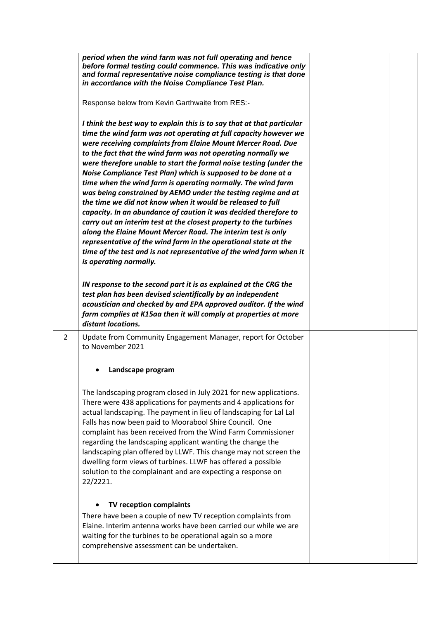|   | period when the wind farm was not full operating and hence<br>before formal testing could commence. This was indicative only<br>and formal representative noise compliance testing is that done<br>in accordance with the Noise Compliance Test Plan.                                                                                                                                                                                                                                                                                                                                                                                                                                                                                                                                                                                                                                                                                                                                         |  |  |
|---|-----------------------------------------------------------------------------------------------------------------------------------------------------------------------------------------------------------------------------------------------------------------------------------------------------------------------------------------------------------------------------------------------------------------------------------------------------------------------------------------------------------------------------------------------------------------------------------------------------------------------------------------------------------------------------------------------------------------------------------------------------------------------------------------------------------------------------------------------------------------------------------------------------------------------------------------------------------------------------------------------|--|--|
|   | Response below from Kevin Garthwaite from RES:-                                                                                                                                                                                                                                                                                                                                                                                                                                                                                                                                                                                                                                                                                                                                                                                                                                                                                                                                               |  |  |
|   | I think the best way to explain this is to say that at that particular<br>time the wind farm was not operating at full capacity however we<br>were receiving complaints from Elaine Mount Mercer Road. Due<br>to the fact that the wind farm was not operating normally we<br>were therefore unable to start the formal noise testing (under the<br>Noise Compliance Test Plan) which is supposed to be done at a<br>time when the wind farm is operating normally. The wind farm<br>was being constrained by AEMO under the testing regime and at<br>the time we did not know when it would be released to full<br>capacity. In an abundance of caution it was decided therefore to<br>carry out an interim test at the closest property to the turbines<br>along the Elaine Mount Mercer Road. The interim test is only<br>representative of the wind farm in the operational state at the<br>time of the test and is not representative of the wind farm when it<br>is operating normally. |  |  |
|   | IN response to the second part it is as explained at the CRG the<br>test plan has been devised scientifically by an independent<br>acoustician and checked by and EPA approved auditor. If the wind<br>farm complies at K15aa then it will comply at properties at more<br>distant locations.                                                                                                                                                                                                                                                                                                                                                                                                                                                                                                                                                                                                                                                                                                 |  |  |
| 2 | Update from Community Engagement Manager, report for October<br>to November 2021                                                                                                                                                                                                                                                                                                                                                                                                                                                                                                                                                                                                                                                                                                                                                                                                                                                                                                              |  |  |
|   | Landscape program                                                                                                                                                                                                                                                                                                                                                                                                                                                                                                                                                                                                                                                                                                                                                                                                                                                                                                                                                                             |  |  |
|   | The landscaping program closed in July 2021 for new applications.<br>There were 438 applications for payments and 4 applications for<br>actual landscaping. The payment in lieu of landscaping for Lal Lal<br>Falls has now been paid to Moorabool Shire Council. One<br>complaint has been received from the Wind Farm Commissioner<br>regarding the landscaping applicant wanting the change the<br>landscaping plan offered by LLWF. This change may not screen the<br>dwelling form views of turbines. LLWF has offered a possible<br>solution to the complainant and are expecting a response on<br>22/2221.                                                                                                                                                                                                                                                                                                                                                                             |  |  |
|   | TV reception complaints<br>There have been a couple of new TV reception complaints from<br>Elaine. Interim antenna works have been carried our while we are<br>waiting for the turbines to be operational again so a more<br>comprehensive assessment can be undertaken.                                                                                                                                                                                                                                                                                                                                                                                                                                                                                                                                                                                                                                                                                                                      |  |  |